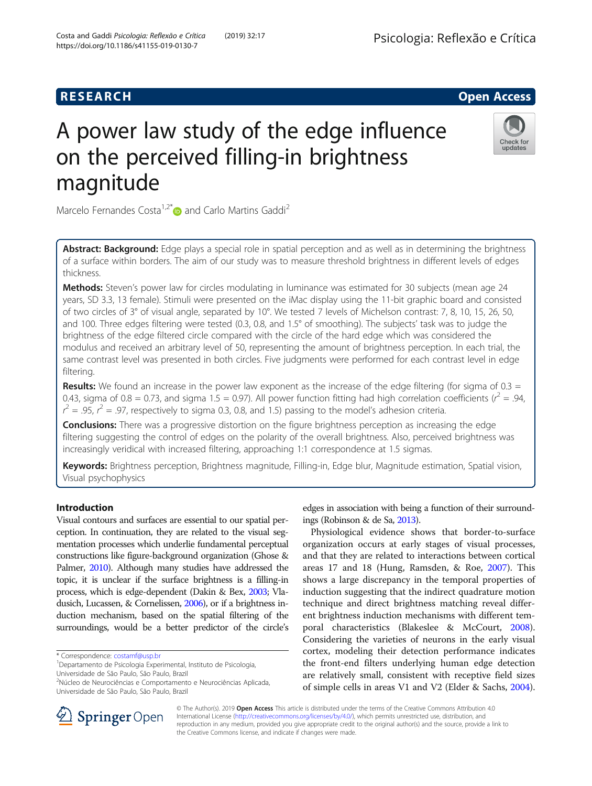## **RESEARCH CHE Open Access**

# A power law study of the edge influence on the perceived filling-in brightness magnitude



Marcelo Fernandes Costa<sup>1,2[\\*](http://orcid.org/0000-0002-3944-8457)</sup> $\bullet$  and Carlo Martins Gaddi<sup>2</sup>

Abstract: Background: Edge plays a special role in spatial perception and as well as in determining the brightness of a surface within borders. The aim of our study was to measure threshold brightness in different levels of edges thickness.

Methods: Steven's power law for circles modulating in luminance was estimated for 30 subjects (mean age 24 years, SD 3.3, 13 female). Stimuli were presented on the iMac display using the 11-bit graphic board and consisted of two circles of 3° of visual angle, separated by 10°. We tested 7 levels of Michelson contrast: 7, 8, 10, 15, 26, 50, and 100. Three edges filtering were tested (0.3, 0.8, and 1.5° of smoothing). The subjects' task was to judge the brightness of the edge filtered circle compared with the circle of the hard edge which was considered the modulus and received an arbitrary level of 50, representing the amount of brightness perception. In each trial, the same contrast level was presented in both circles. Five judgments were performed for each contrast level in edge filtering.

Results: We found an increase in the power law exponent as the increase of the edge filtering (for sigma of  $0.3 =$ 0.43, sigma of 0.8 = 0.73, and sigma 1.5 = 0.97). All power function fitting had high correlation coefficients ( $r^2 = .94$ ,  $r^2 = .95$ ,  $r^2 = .97$ , respectively to sigma 0.3, 0.8, and 1.5) passing to the model's adhesion criteria.

**Conclusions:** There was a progressive distortion on the figure brightness perception as increasing the edge filtering suggesting the control of edges on the polarity of the overall brightness. Also, perceived brightness was increasingly veridical with increased filtering, approaching 1:1 correspondence at 1.5 sigmas.

Keywords: Brightness perception, Brightness magnitude, Filling-in, Edge blur, Magnitude estimation, Spatial vision, Visual psychophysics

#### Introduction

Visual contours and surfaces are essential to our spatial perception. In continuation, they are related to the visual segmentation processes which underlie fundamental perceptual constructions like figure-background organization (Ghose & Palmer, [2010\)](#page-6-0). Although many studies have addressed the topic, it is unclear if the surface brightness is a filling-in process, which is edge-dependent (Dakin & Bex, [2003;](#page-6-0) Vladusich, Lucassen, & Cornelissen, [2006](#page-6-0)), or if a brightness induction mechanism, based on the spatial filtering of the surroundings, would be a better predictor of the circle's edges in association with being a function of their surroundings (Robinson & de Sa, [2013](#page-6-0)).

Physiological evidence shows that border-to-surface organization occurs at early stages of visual processes, and that they are related to interactions between cortical areas 17 and 18 (Hung, Ramsden, & Roe, [2007](#page-6-0)). This shows a large discrepancy in the temporal properties of induction suggesting that the indirect quadrature motion technique and direct brightness matching reveal different brightness induction mechanisms with different temporal characteristics (Blakeslee & McCourt, [2008](#page-6-0)). Considering the varieties of neurons in the early visual cortex, modeling their detection performance indicates the front-end filters underlying human edge detection are relatively small, consistent with receptive field sizes of simple cells in areas V1 and V2 (Elder & Sachs, [2004](#page-6-0)).



© The Author(s). 2019 Open Access This article is distributed under the terms of the Creative Commons Attribution 4.0 International License ([http://creativecommons.org/licenses/by/4.0/\)](http://creativecommons.org/licenses/by/4.0/), which permits unrestricted use, distribution, and reproduction in any medium, provided you give appropriate credit to the original author(s) and the source, provide a link to the Creative Commons license, and indicate if changes were made.

<sup>\*</sup> Correspondence: [costamf@usp.br](mailto:costamf@usp.br) <sup>1</sup>

Departamento de Psicologia Experimental, Instituto de Psicologia, Universidade de São Paulo, São Paulo, Brazil

<sup>&</sup>lt;sup>2</sup>Núcleo de Neurociências e Comportamento e Neurociências Aplicada, Universidade de São Paulo, São Paulo, Brazil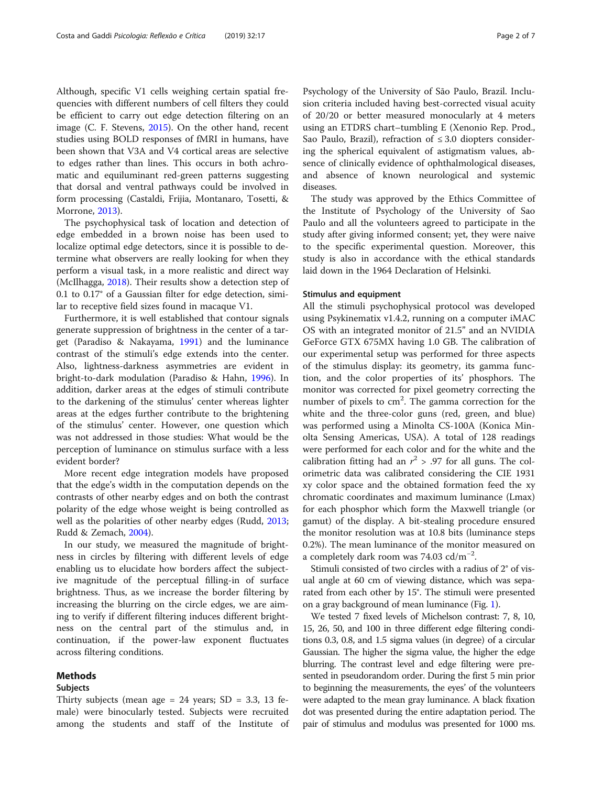Although, specific V1 cells weighing certain spatial frequencies with different numbers of cell filters they could be efficient to carry out edge detection filtering on an image (C. F. Stevens, [2015](#page-6-0)). On the other hand, recent studies using BOLD responses of fMRI in humans, have been shown that V3A and V4 cortical areas are selective to edges rather than lines. This occurs in both achromatic and equiluminant red-green patterns suggesting that dorsal and ventral pathways could be involved in form processing (Castaldi, Frijia, Montanaro, Tosetti, & Morrone, [2013\)](#page-6-0).

The psychophysical task of location and detection of edge embedded in a brown noise has been used to localize optimal edge detectors, since it is possible to determine what observers are really looking for when they perform a visual task, in a more realistic and direct way (McIlhagga, [2018](#page-6-0)). Their results show a detection step of 0.1 to 0.17° of a Gaussian filter for edge detection, similar to receptive field sizes found in macaque V1.

Furthermore, it is well established that contour signals generate suppression of brightness in the center of a target (Paradiso & Nakayama, [1991](#page-6-0)) and the luminance contrast of the stimuli's edge extends into the center. Also, lightness-darkness asymmetries are evident in bright-to-dark modulation (Paradiso & Hahn, [1996](#page-6-0)). In addition, darker areas at the edges of stimuli contribute to the darkening of the stimulus' center whereas lighter areas at the edges further contribute to the brightening of the stimulus' center. However, one question which was not addressed in those studies: What would be the perception of luminance on stimulus surface with a less evident border?

More recent edge integration models have proposed that the edge's width in the computation depends on the contrasts of other nearby edges and on both the contrast polarity of the edge whose weight is being controlled as well as the polarities of other nearby edges (Rudd, [2013](#page-6-0); Rudd & Zemach, [2004](#page-6-0)).

In our study, we measured the magnitude of brightness in circles by filtering with different levels of edge enabling us to elucidate how borders affect the subjective magnitude of the perceptual filling-in of surface brightness. Thus, as we increase the border filtering by increasing the blurring on the circle edges, we are aiming to verify if different filtering induces different brightness on the central part of the stimulus and, in continuation, if the power-law exponent fluctuates across filtering conditions.

#### Methods

#### Subjects

Costa and Gaddi Psicologia: Reflexão e Crítica (2019) 32:17 Page 2 of 7

Psychology of the University of São Paulo, Brazil. Inclusion criteria included having best-corrected visual acuity of 20/20 or better measured monocularly at 4 meters using an ETDRS chart–tumbling E (Xenonio Rep. Prod., Sao Paulo, Brazil), refraction of  $\leq 3.0$  diopters considering the spherical equivalent of astigmatism values, absence of clinically evidence of ophthalmological diseases, and absence of known neurological and systemic diseases.

The study was approved by the Ethics Committee of the Institute of Psychology of the University of Sao Paulo and all the volunteers agreed to participate in the study after giving informed consent; yet, they were naive to the specific experimental question. Moreover, this study is also in accordance with the ethical standards laid down in the 1964 Declaration of Helsinki.

#### Stimulus and equipment

All the stimuli psychophysical protocol was developed using Psykinematix v1.4.2, running on a computer iMAC OS with an integrated monitor of 21.5" and an NVIDIA GeForce GTX 675MX having 1.0 GB. The calibration of our experimental setup was performed for three aspects of the stimulus display: its geometry, its gamma function, and the color properties of its' phosphors. The monitor was corrected for pixel geometry correcting the number of pixels to cm<sup>2</sup>. The gamma correction for the white and the three-color guns (red, green, and blue) was performed using a Minolta CS-100A (Konica Minolta Sensing Americas, USA). A total of 128 readings were performed for each color and for the white and the calibration fitting had an  $r^2 > .97$  for all guns. The colorimetric data was calibrated considering the CIE 1931 xy color space and the obtained formation feed the xy chromatic coordinates and maximum luminance (Lmax) for each phosphor which form the Maxwell triangle (or gamut) of the display. A bit-stealing procedure ensured the monitor resolution was at 10.8 bits (luminance steps 0.2%). The mean luminance of the monitor measured on a completely dark room was 74.03 cd/m−<sup>2</sup> .

Stimuli consisted of two circles with a radius of 2° of visual angle at 60 cm of viewing distance, which was separated from each other by 15°. The stimuli were presented on a gray background of mean luminance (Fig. [1](#page-2-0)).

We tested 7 fixed levels of Michelson contrast: 7, 8, 10, 15, 26, 50, and 100 in three different edge filtering conditions 0.3, 0.8, and 1.5 sigma values (in degree) of a circular Gaussian. The higher the sigma value, the higher the edge blurring. The contrast level and edge filtering were presented in pseudorandom order. During the first 5 min prior to beginning the measurements, the eyes' of the volunteers were adapted to the mean gray luminance. A black fixation dot was presented during the entire adaptation period. The pair of stimulus and modulus was presented for 1000 ms.

Thirty subjects (mean age  $= 24$  years; SD  $= 3.3$ , 13 female) were binocularly tested. Subjects were recruited among the students and staff of the Institute of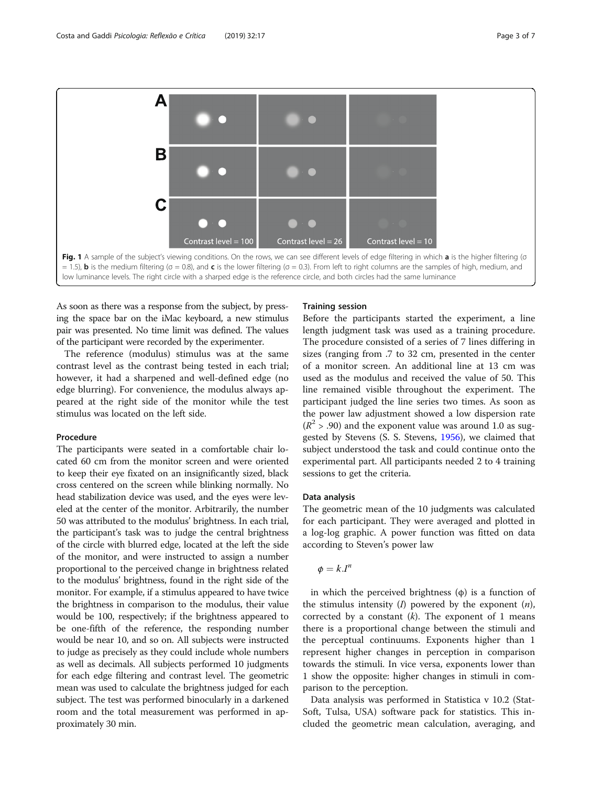<span id="page-2-0"></span>

As soon as there was a response from the subject, by pressing the space bar on the iMac keyboard, a new stimulus pair was presented. No time limit was defined. The values of the participant were recorded by the experimenter.

The reference (modulus) stimulus was at the same contrast level as the contrast being tested in each trial; however, it had a sharpened and well-defined edge (no edge blurring). For convenience, the modulus always appeared at the right side of the monitor while the test stimulus was located on the left side.

#### Procedure

The participants were seated in a comfortable chair located 60 cm from the monitor screen and were oriented to keep their eye fixated on an insignificantly sized, black cross centered on the screen while blinking normally. No head stabilization device was used, and the eyes were leveled at the center of the monitor. Arbitrarily, the number 50 was attributed to the modulus' brightness. In each trial, the participant's task was to judge the central brightness of the circle with blurred edge, located at the left the side of the monitor, and were instructed to assign a number proportional to the perceived change in brightness related to the modulus' brightness, found in the right side of the monitor. For example, if a stimulus appeared to have twice the brightness in comparison to the modulus, their value would be 100, respectively; if the brightness appeared to be one-fifth of the reference, the responding number would be near 10, and so on. All subjects were instructed to judge as precisely as they could include whole numbers as well as decimals. All subjects performed 10 judgments for each edge filtering and contrast level. The geometric mean was used to calculate the brightness judged for each subject. The test was performed binocularly in a darkened room and the total measurement was performed in approximately 30 min.

#### Training session

Before the participants started the experiment, a line length judgment task was used as a training procedure. The procedure consisted of a series of 7 lines differing in sizes (ranging from .7 to 32 cm, presented in the center of a monitor screen. An additional line at 13 cm was used as the modulus and received the value of 50. This line remained visible throughout the experiment. The participant judged the line series two times. As soon as the power law adjustment showed a low dispersion rate  $(R^2 > .90)$  and the exponent value was around 1.0 as suggested by Stevens (S. S. Stevens, [1956](#page-6-0)), we claimed that subject understood the task and could continue onto the experimental part. All participants needed 2 to 4 training sessions to get the criteria.

#### Data analysis

The geometric mean of the 10 judgments was calculated for each participant. They were averaged and plotted in a log-log graphic. A power function was fitted on data according to Steven's power law

$$
\phi=k.I^n
$$

in which the perceived brightness  $(φ)$  is a function of the stimulus intensity  $(I)$  powered by the exponent  $(n)$ , corrected by a constant  $(k)$ . The exponent of 1 means there is a proportional change between the stimuli and the perceptual continuums. Exponents higher than 1 represent higher changes in perception in comparison towards the stimuli. In vice versa, exponents lower than 1 show the opposite: higher changes in stimuli in comparison to the perception.

Data analysis was performed in Statistica v 10.2 (Stat-Soft, Tulsa, USA) software pack for statistics. This included the geometric mean calculation, averaging, and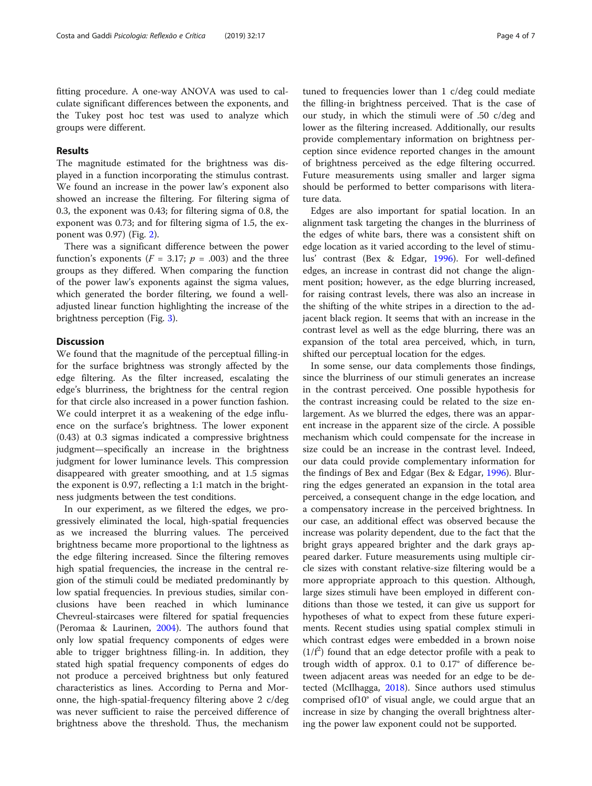fitting procedure. A one-way ANOVA was used to calculate significant differences between the exponents, and the Tukey post hoc test was used to analyze which groups were different.

#### Results

The magnitude estimated for the brightness was displayed in a function incorporating the stimulus contrast. We found an increase in the power law's exponent also showed an increase the filtering. For filtering sigma of 0.3, the exponent was 0.43; for filtering sigma of 0.8, the exponent was 0.73; and for filtering sigma of 1.5, the exponent was 0.97) (Fig. [2\)](#page-4-0).

There was a significant difference between the power function's exponents ( $F = 3.17$ ;  $p = .003$ ) and the three groups as they differed. When comparing the function of the power law's exponents against the sigma values, which generated the border filtering, we found a welladjusted linear function highlighting the increase of the brightness perception (Fig. [3\)](#page-5-0).

#### **Discussion**

We found that the magnitude of the perceptual filling-in for the surface brightness was strongly affected by the edge filtering. As the filter increased, escalating the edge's blurriness, the brightness for the central region for that circle also increased in a power function fashion. We could interpret it as a weakening of the edge influence on the surface's brightness. The lower exponent (0.43) at 0.3 sigmas indicated a compressive brightness judgment—specifically an increase in the brightness judgment for lower luminance levels. This compression disappeared with greater smoothing, and at 1.5 sigmas the exponent is 0.97, reflecting a 1:1 match in the brightness judgments between the test conditions.

In our experiment, as we filtered the edges, we progressively eliminated the local, high-spatial frequencies as we increased the blurring values. The perceived brightness became more proportional to the lightness as the edge filtering increased. Since the filtering removes high spatial frequencies, the increase in the central region of the stimuli could be mediated predominantly by low spatial frequencies. In previous studies, similar conclusions have been reached in which luminance Chevreul-staircases were filtered for spatial frequencies (Peromaa & Laurinen, [2004](#page-6-0)). The authors found that only low spatial frequency components of edges were able to trigger brightness filling-in. In addition, they stated high spatial frequency components of edges do not produce a perceived brightness but only featured characteristics as lines. According to Perna and Moronne, the high-spatial-frequency filtering above 2 c/deg was never sufficient to raise the perceived difference of brightness above the threshold. Thus, the mechanism

tuned to frequencies lower than 1 c/deg could mediate the filling-in brightness perceived. That is the case of our study, in which the stimuli were of .50 c/deg and lower as the filtering increased. Additionally, our results provide complementary information on brightness perception since evidence reported changes in the amount of brightness perceived as the edge filtering occurred. Future measurements using smaller and larger sigma should be performed to better comparisons with literature data.

Edges are also important for spatial location. In an alignment task targeting the changes in the blurriness of the edges of white bars, there was a consistent shift on edge location as it varied according to the level of stimulus' contrast (Bex & Edgar, [1996\)](#page-6-0). For well-defined edges, an increase in contrast did not change the alignment position; however, as the edge blurring increased, for raising contrast levels, there was also an increase in the shifting of the white stripes in a direction to the adjacent black region. It seems that with an increase in the contrast level as well as the edge blurring, there was an expansion of the total area perceived, which, in turn, shifted our perceptual location for the edges.

In some sense, our data complements those findings, since the blurriness of our stimuli generates an increase in the contrast perceived. One possible hypothesis for the contrast increasing could be related to the size enlargement. As we blurred the edges, there was an apparent increase in the apparent size of the circle. A possible mechanism which could compensate for the increase in size could be an increase in the contrast level. Indeed, our data could provide complementary information for the findings of Bex and Edgar (Bex & Edgar, [1996](#page-6-0)). Blurring the edges generated an expansion in the total area perceived, a consequent change in the edge location, and a compensatory increase in the perceived brightness. In our case, an additional effect was observed because the increase was polarity dependent, due to the fact that the bright grays appeared brighter and the dark grays appeared darker. Future measurements using multiple circle sizes with constant relative-size filtering would be a more appropriate approach to this question. Although, large sizes stimuli have been employed in different conditions than those we tested, it can give us support for hypotheses of what to expect from these future experiments. Recent studies using spatial complex stimuli in which contrast edges were embedded in a brown noise  $(1/f<sup>2</sup>)$  found that an edge detector profile with a peak to trough width of approx. 0.1 to 0.17° of difference between adjacent areas was needed for an edge to be detected (McIlhagga, [2018](#page-6-0)). Since authors used stimulus comprised of10° of visual angle, we could argue that an increase in size by changing the overall brightness altering the power law exponent could not be supported.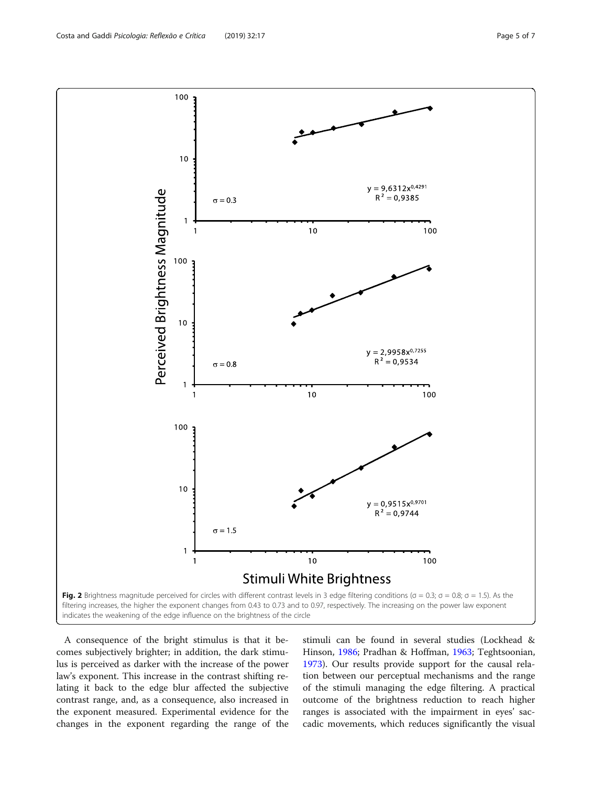100

A consequence of the bright stimulus is that it becomes subjectively brighter; in addition, the dark stimulus is perceived as darker with the increase of the power law's exponent. This increase in the contrast shifting relating it back to the edge blur affected the subjective contrast range, and, as a consequence, also increased in the exponent measured. Experimental evidence for the changes in the exponent regarding the range of the

stimuli can be found in several studies (Lockhead & Hinson, [1986;](#page-6-0) Pradhan & Hoffman, [1963;](#page-6-0) Teghtsoonian, [1973](#page-6-0)). Our results provide support for the causal relation between our perceptual mechanisms and the range of the stimuli managing the edge filtering. A practical outcome of the brightness reduction to reach higher ranges is associated with the impairment in eyes' saccadic movements, which reduces significantly the visual

<span id="page-4-0"></span>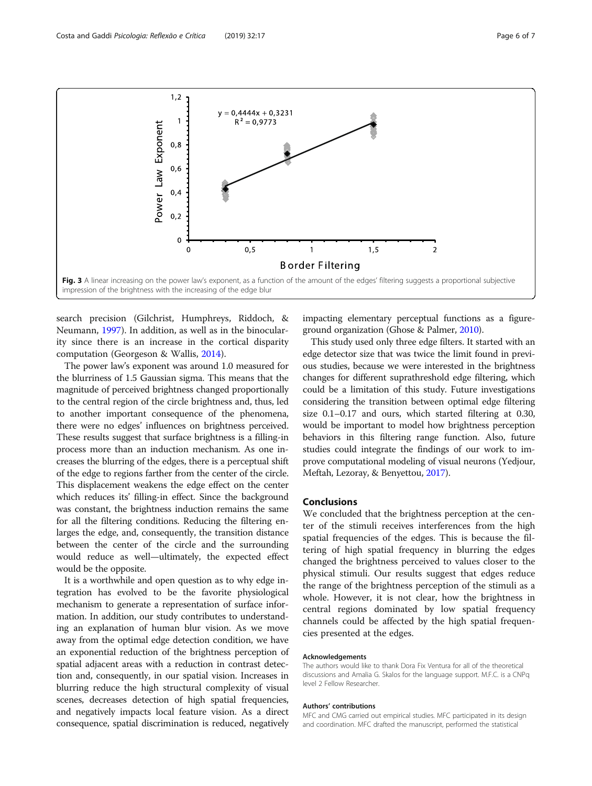<span id="page-5-0"></span>

search precision (Gilchrist, Humphreys, Riddoch, & Neumann, [1997\)](#page-6-0). In addition, as well as in the binocularity since there is an increase in the cortical disparity computation (Georgeson & Wallis, [2014](#page-6-0)).

The power law's exponent was around 1.0 measured for the blurriness of 1.5 Gaussian sigma. This means that the magnitude of perceived brightness changed proportionally to the central region of the circle brightness and, thus, led to another important consequence of the phenomena, there were no edges' influences on brightness perceived. These results suggest that surface brightness is a filling-in process more than an induction mechanism. As one increases the blurring of the edges, there is a perceptual shift of the edge to regions farther from the center of the circle. This displacement weakens the edge effect on the center which reduces its' filling-in effect. Since the background was constant, the brightness induction remains the same for all the filtering conditions. Reducing the filtering enlarges the edge, and, consequently, the transition distance between the center of the circle and the surrounding would reduce as well—ultimately, the expected effect would be the opposite.

It is a worthwhile and open question as to why edge integration has evolved to be the favorite physiological mechanism to generate a representation of surface information. In addition, our study contributes to understanding an explanation of human blur vision. As we move away from the optimal edge detection condition, we have an exponential reduction of the brightness perception of spatial adjacent areas with a reduction in contrast detection and, consequently, in our spatial vision. Increases in blurring reduce the high structural complexity of visual scenes, decreases detection of high spatial frequencies, and negatively impacts local feature vision. As a direct consequence, spatial discrimination is reduced, negatively

impacting elementary perceptual functions as a figureground organization (Ghose & Palmer, [2010\)](#page-6-0).

This study used only three edge filters. It started with an edge detector size that was twice the limit found in previous studies, because we were interested in the brightness changes for different suprathreshold edge filtering, which could be a limitation of this study. Future investigations considering the transition between optimal edge filtering size 0.1–0.17 and ours, which started filtering at 0.30, would be important to model how brightness perception behaviors in this filtering range function. Also, future studies could integrate the findings of our work to improve computational modeling of visual neurons (Yedjour, Meftah, Lezoray, & Benyettou, [2017](#page-6-0)).

#### Conclusions

We concluded that the brightness perception at the center of the stimuli receives interferences from the high spatial frequencies of the edges. This is because the filtering of high spatial frequency in blurring the edges changed the brightness perceived to values closer to the physical stimuli. Our results suggest that edges reduce the range of the brightness perception of the stimuli as a whole. However, it is not clear, how the brightness in central regions dominated by low spatial frequency channels could be affected by the high spatial frequencies presented at the edges.

#### Acknowledgements

The authors would like to thank Dora Fix Ventura for all of the theoretical discussions and Amalia G. Skalos for the language support. M.F.C. is a CNPq level 2 Fellow Researcher.

#### Authors' contributions

MFC and CMG carried out empirical studies. MFC participated in its design and coordination. MFC drafted the manuscript, performed the statistical